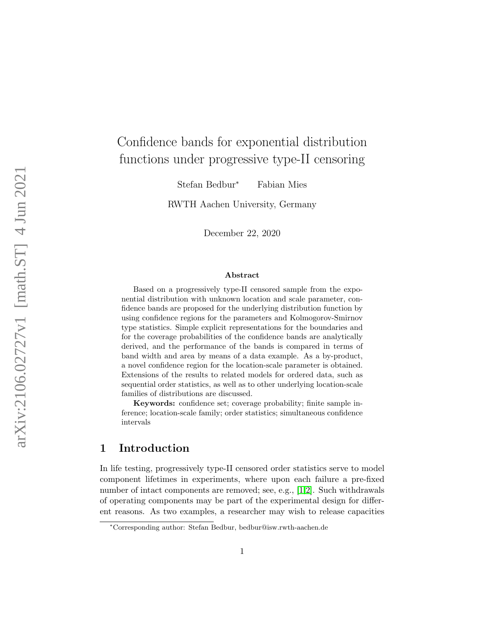# Confidence bands for exponential distribution functions under progressive type-II censoring

Stefan Bedbur<sup>∗</sup> Fabian Mies

RWTH Aachen University, Germany

December 22, 2020

#### Abstract

Based on a progressively type-II censored sample from the exponential distribution with unknown location and scale parameter, confidence bands are proposed for the underlying distribution function by using confidence regions for the parameters and Kolmogorov-Smirnov type statistics. Simple explicit representations for the boundaries and for the coverage probabilities of the confidence bands are analytically derived, and the performance of the bands is compared in terms of band width and area by means of a data example. As a by-product, a novel confidence region for the location-scale parameter is obtained. Extensions of the results to related models for ordered data, such as sequential order statistics, as well as to other underlying location-scale families of distributions are discussed.

Keywords: confidence set; coverage probability; finite sample inference; location-scale family; order statistics; simultaneous confidence intervals

# 1 Introduction

In life testing, progressively type-II censored order statistics serve to model component lifetimes in experiments, where upon each failure a pre-fixed number of intact components are removed; see, e.g., [\[1](#page-25-0)[,2\]](#page-25-1). Such withdrawals of operating components may be part of the experimental design for different reasons. As two examples, a researcher may wish to release capacities

<sup>∗</sup>Corresponding author: Stefan Bedbur, bedbur@isw.rwth-aachen.de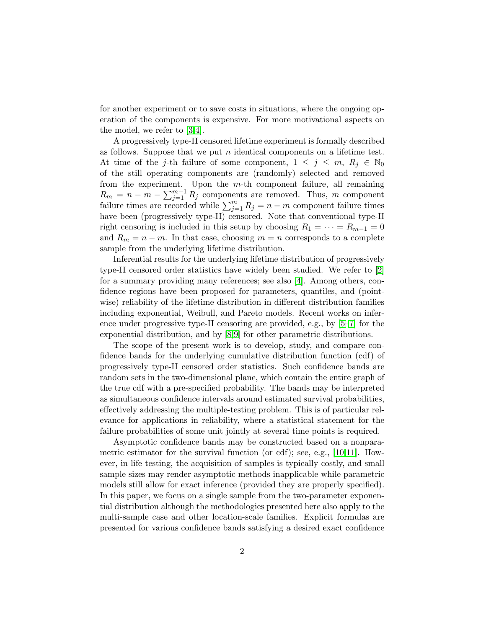for another experiment or to save costs in situations, where the ongoing operation of the components is expensive. For more motivational aspects on the model, we refer to [\[3](#page-25-2)[,4\]](#page-25-3).

A progressively type-II censored lifetime experiment is formally described as follows. Suppose that we put  $n$  identical components on a lifetime test. At time of the j-th failure of some component,  $1 \leq j \leq m$ ,  $R_j \in \mathbb{N}_0$ of the still operating components are (randomly) selected and removed from the experiment. Upon the m-th component failure, all remaining  $R_m = n - m - \sum_{j=1}^{m-1} R_j$  components are removed. Thus, m component failure times are recorded while  $\sum_{j=1}^{m} R_j = n - m$  component failure times have been (progressively type-II) censored. Note that conventional type-II right censoring is included in this setup by choosing  $R_1 = \cdots = R_{m-1} = 0$ and  $R_m = n - m$ . In that case, choosing  $m = n$  corresponds to a complete sample from the underlying lifetime distribution.

Inferential results for the underlying lifetime distribution of progressively type-II censored order statistics have widely been studied. We refer to [\[2\]](#page-25-1) for a summary providing many references; see also [\[4\]](#page-25-3). Among others, confidence regions have been proposed for parameters, quantiles, and (pointwise) reliability of the lifetime distribution in different distribution families including exponential, Weibull, and Pareto models. Recent works on inference under progressive type-II censoring are provided, e.g., by [\[5–](#page-25-4)[7\]](#page-25-5) for the exponential distribution, and by [\[8,](#page-25-6)[9\]](#page-25-7) for other parametric distributions.

The scope of the present work is to develop, study, and compare confidence bands for the underlying cumulative distribution function (cdf) of progressively type-II censored order statistics. Such confidence bands are random sets in the two-dimensional plane, which contain the entire graph of the true cdf with a pre-specified probability. The bands may be interpreted as simultaneous confidence intervals around estimated survival probabilities, effectively addressing the multiple-testing problem. This is of particular relevance for applications in reliability, where a statistical statement for the failure probabilities of some unit jointly at several time points is required.

Asymptotic confidence bands may be constructed based on a nonparametric estimator for the survival function (or cdf); see, e.g., [\[10](#page-25-8)[,11\]](#page-25-9). However, in life testing, the acquisition of samples is typically costly, and small sample sizes may render asymptotic methods inapplicable while parametric models still allow for exact inference (provided they are properly specified). In this paper, we focus on a single sample from the two-parameter exponential distribution although the methodologies presented here also apply to the multi-sample case and other location-scale families. Explicit formulas are presented for various confidence bands satisfying a desired exact confidence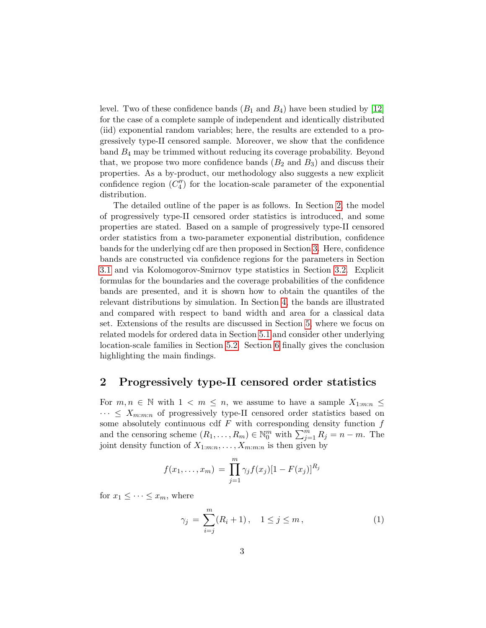level. Two of these confidence bands  $(B_1 \text{ and } B_4)$  have been studied by [\[12\]](#page-25-10) for the case of a complete sample of independent and identically distributed (iid) exponential random variables; here, the results are extended to a progressively type-II censored sample. Moreover, we show that the confidence band B<sup>4</sup> may be trimmed without reducing its coverage probability. Beyond that, we propose two more confidence bands  $(B_2 \text{ and } B_3)$  and discuss their properties. As a by-product, our methodology also suggests a new explicit confidence region  $(C_4'')$  for the location-scale parameter of the exponential distribution.

The detailed outline of the paper is as follows. In Section [2,](#page-2-0) the model of progressively type-II censored order statistics is introduced, and some properties are stated. Based on a sample of progressively type-II censored order statistics from a two-parameter exponential distribution, confidence bands for the underlying cdf are then proposed in Section [3.](#page-3-0) Here, confidence bands are constructed via confidence regions for the parameters in Section [3.1](#page-4-0) and via Kolomogorov-Smirnov type statistics in Section [3.2.](#page-10-0) Explicit formulas for the boundaries and the coverage probabilities of the confidence bands are presented, and it is shown how to obtain the quantiles of the relevant distributions by simulation. In Section [4,](#page-13-0) the bands are illustrated and compared with respect to band width and area for a classical data set. Extensions of the results are discussed in Section [5,](#page-16-0) where we focus on related models for ordered data in Section [5.1](#page-17-0) and consider other underlying location-scale families in Section [5.2.](#page-18-0) Section [6](#page-19-0) finally gives the conclusion highlighting the main findings.

## <span id="page-2-0"></span>2 Progressively type-II censored order statistics

For  $m, n \in \mathbb{N}$  with  $1 \leq m \leq n$ , we assume to have a sample  $X_{1:m:n} \leq$  $\cdots \leq X_{m:m:n}$  of progressively type-II censored order statistics based on some absolutely continuous cdf  $F$  with corresponding density function  $f$ and the censoring scheme  $(R_1, \ldots, R_m) \in \mathbb{N}_0^m$  with  $\sum_{j=1}^m R_j = n - m$ . The joint density function of  $X_{1:m:n}, \ldots, X_{m:m:n}$  is then given by

$$
f(x_1,...,x_m) = \prod_{j=1}^m \gamma_j f(x_j) [1 - F(x_j)]^{R_j}
$$

for  $x_1 \leq \cdots \leq x_m$ , where

<span id="page-2-1"></span>
$$
\gamma_j = \sum_{i=j}^{m} (R_i + 1), \quad 1 \le j \le m,
$$
\n(1)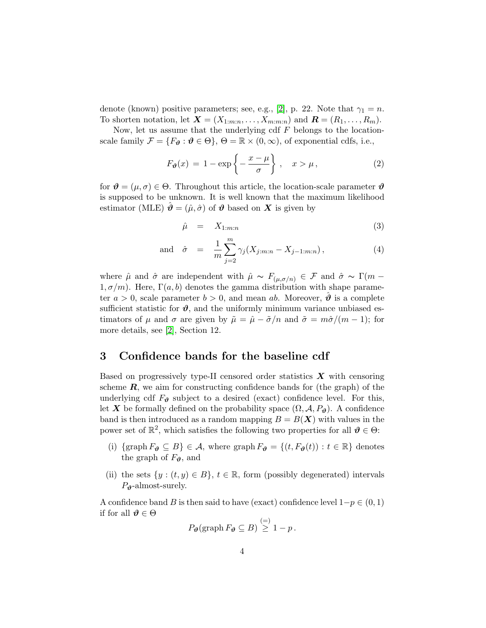denote (known) positive parameters; see, e.g., [\[2\]](#page-25-1), p. 22. Note that  $\gamma_1 = n$ . To shorten notation, let  $\mathbf{X} = (X_{1:m:n}, \ldots, X_{m:m:n})$  and  $\mathbf{R} = (R_1, \ldots, R_m)$ .

Now, let us assume that the underlying cdf  $F$  belongs to the locationscale family  $\mathcal{F} = \{F_{\theta} : \theta \in \Theta\}, \Theta = \mathbb{R} \times (0, \infty)$ , of exponential cdfs, i.e.,

<span id="page-3-1"></span>
$$
F_{\theta}(x) = 1 - \exp\left\{-\frac{x-\mu}{\sigma}\right\}, \quad x > \mu,
$$
 (2)

for  $\theta = (\mu, \sigma) \in \Theta$ . Throughout this article, the location-scale parameter  $\theta$ is supposed to be unknown. It is well known that the maximum likelihood estimator (MLE)  $\hat{\theta} = (\hat{\mu}, \hat{\sigma})$  of  $\hat{\theta}$  based on X is given by

<span id="page-3-2"></span>
$$
\hat{\mu} = X_{1:m:n} \tag{3}
$$

and 
$$
\hat{\sigma} = \frac{1}{m} \sum_{j=2}^{m} \gamma_j (X_{j:m:n} - X_{j-1:m:n}),
$$
 (4)

where  $\hat{\mu}$  and  $\hat{\sigma}$  are independent with  $\hat{\mu} \sim F_{(\mu,\sigma/n)} \in \mathcal{F}$  and  $\hat{\sigma} \sim \Gamma(m - \sigma)$  $1, \sigma/m$ ). Here,  $\Gamma(a, b)$  denotes the gamma distribution with shape parameter  $a > 0$ , scale parameter  $b > 0$ , and mean ab. Moreover,  $\theta$  is a complete sufficient statistic for  $\vartheta$ , and the uniformly minimum variance unbiased estimators of  $\mu$  and  $\sigma$  are given by  $\tilde{\mu} = \hat{\mu} - \tilde{\sigma}/n$  and  $\tilde{\sigma} = m\hat{\sigma}/(m-1)$ ; for more details, see [\[2\]](#page-25-1), Section 12.

## <span id="page-3-0"></span>3 Confidence bands for the baseline cdf

Based on progressively type-II censored order statistics  $\boldsymbol{X}$  with censoring scheme  $\mathbf{R}$ , we aim for constructing confidence bands for (the graph) of the underlying cdf  $F_{\theta}$  subject to a desired (exact) confidence level. For this, let X be formally defined on the probability space  $(\Omega, \mathcal{A}, P_{\theta})$ . A confidence band is then introduced as a random mapping  $B = B(X)$  with values in the power set of  $\mathbb{R}^2$ , which satisfies the following two properties for all  $\mathbf{\vartheta} \in \Theta$ :

- (i) {graph  $F_{\theta} \subseteq B$ }  $\in \mathcal{A}$ , where graph  $F_{\theta} = \{(t, F_{\theta}(t)) : t \in \mathbb{R}\}\)$  denotes the graph of  $F_{\theta}$ , and
- (ii) the sets  $\{y : (t, y) \in B\}, t \in \mathbb{R}$ , form (possibly degenerated) intervals  $P_{\theta}$ -almost-surely.

A confidence band B is then said to have (exact) confidence level  $1-p \in (0, 1)$ if for all  $\vartheta \in \Theta$ 

$$
P_{\boldsymbol{\vartheta}}(\operatorname{graph} F_{\boldsymbol{\vartheta}} \subseteq B) \stackrel{(=)}{\geq} 1 - p.
$$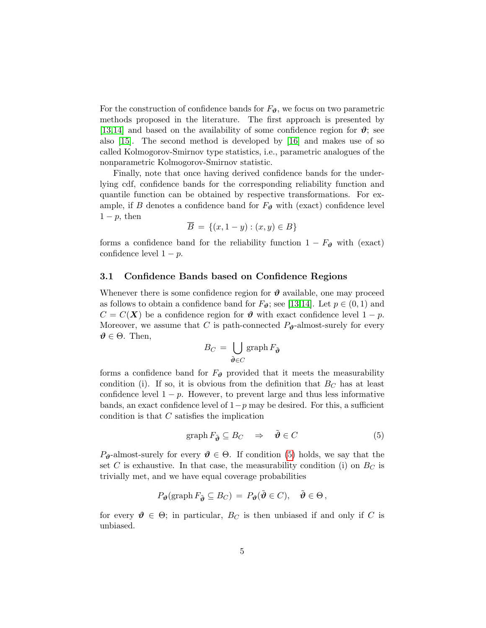For the construction of confidence bands for  $F_{\theta}$ , we focus on two parametric methods proposed in the literature. The first approach is presented by [\[13,](#page-26-0)[14\]](#page-26-1) and based on the availability of some confidence region for  $\vartheta$ ; see also [\[15\]](#page-26-2). The second method is developed by [\[16\]](#page-26-3) and makes use of so called Kolmogorov-Smirnov type statistics, i.e., parametric analogues of the nonparametric Kolmogorov-Smirnov statistic.

Finally, note that once having derived confidence bands for the underlying cdf, confidence bands for the corresponding reliability function and quantile function can be obtained by respective transformations. For example, if B denotes a confidence band for  $F_{\theta}$  with (exact) confidence level  $1-p$ , then

$$
\overline{B} = \{(x, 1-y) : (x, y) \in B\}
$$

forms a confidence band for the reliability function  $1 - F_{\theta}$  with (exact) confidence level  $1 - p$ .

#### <span id="page-4-0"></span>3.1 Confidence Bands based on Confidence Regions

Whenever there is some confidence region for  $\vartheta$  available, one may proceed as follows to obtain a confidence band for  $F_{\theta}$ ; see [\[13,](#page-26-0)[14\]](#page-26-1). Let  $p \in (0,1)$  and  $C = C(X)$  be a confidence region for  $\theta$  with exact confidence level  $1 - p$ . Moreover, we assume that C is path-connected  $P_{\theta}$ -almost-surely for every  $\vartheta \in \Theta$ . Then,

$$
B_C = \bigcup_{\tilde{\boldsymbol{\vartheta}} \in C} \operatorname{graph} F_{\tilde{\boldsymbol{\vartheta}}}
$$

forms a confidence band for  $F_{\theta}$  provided that it meets the measurability condition (i). If so, it is obvious from the definition that  $B<sub>C</sub>$  has at least confidence level  $1 - p$ . However, to prevent large and thus less informative bands, an exact confidence level of  $1-p$  may be desired. For this, a sufficient condition is that C satisfies the implication

<span id="page-4-1"></span>
$$
\operatorname{graph} F_{\tilde{\boldsymbol{\vartheta}}} \subseteq B_C \quad \Rightarrow \quad \tilde{\boldsymbol{\vartheta}} \in C \tag{5}
$$

 $P_{\theta}$ -almost-surely for every  $\theta \in \Theta$ . If condition [\(5\)](#page-4-1) holds, we say that the set C is exhaustive. In that case, the measurability condition (i) on  $B_C$  is trivially met, and we have equal coverage probabilities

$$
P_{\boldsymbol{\theta}}(\text{graph}\, F_{\tilde{\boldsymbol{\theta}}} \subseteq B_C) = P_{\boldsymbol{\theta}}(\tilde{\boldsymbol{\theta}} \in C), \quad \tilde{\boldsymbol{\theta}} \in \Theta\,,
$$

for every  $\mathbf{\vartheta} \in \Theta$ ; in particular,  $B_C$  is then unbiased if and only if C is unbiased.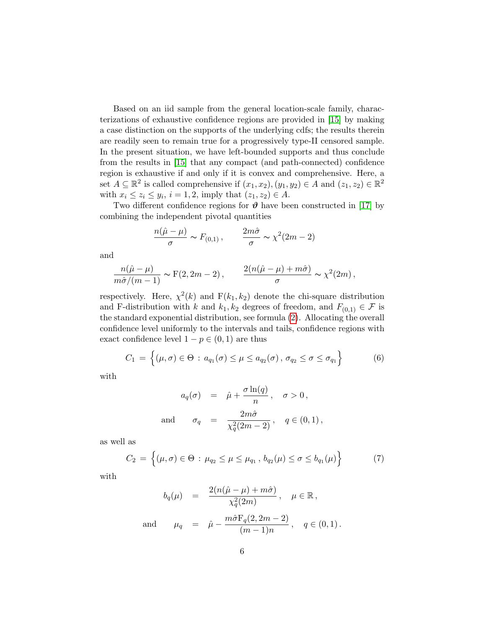Based on an iid sample from the general location-scale family, characterizations of exhaustive confidence regions are provided in [\[15\]](#page-26-2) by making a case distinction on the supports of the underlying cdfs; the results therein are readily seen to remain true for a progressively type-II censored sample. In the present situation, we have left-bounded supports and thus conclude from the results in [\[15\]](#page-26-2) that any compact (and path-connected) confidence region is exhaustive if and only if it is convex and comprehensive. Here, a set  $A \subseteq \mathbb{R}^2$  is called comprehensive if  $(x_1, x_2), (y_1, y_2) \in A$  and  $(z_1, z_2) \in \mathbb{R}^2$ with  $x_i \le z_i \le y_i$ ,  $i = 1, 2$ , imply that  $(z_1, z_2) \in A$ .

Two different confidence regions for  $\vartheta$  have been constructed in [\[17\]](#page-26-4) by combining the independent pivotal quantities

$$
\frac{n(\hat{\mu} - \mu)}{\sigma} \sim F_{(0,1)} , \qquad \frac{2m\hat{\sigma}}{\sigma} \sim \chi^2 (2m - 2)
$$

and

$$
\frac{n(\hat{\mu}-\mu)}{m\hat{\sigma}/(m-1)} \sim F(2, 2m-2), \qquad \frac{2(n(\hat{\mu}-\mu)+m\hat{\sigma})}{\sigma} \sim \chi^2(2m),
$$

respectively. Here,  $\chi^2(k)$  and  $F(k_1, k_2)$  denote the chi-square distribution and F-distribution with k and  $k_1, k_2$  degrees of freedom, and  $F_{(0,1)} \in \mathcal{F}$  is the standard exponential distribution, see formula [\(2\)](#page-3-1). Allocating the overall confidence level uniformly to the intervals and tails, confidence regions with exact confidence level  $1 - p \in (0, 1)$  are thus

<span id="page-5-0"></span>
$$
C_1 = \left\{ (\mu, \sigma) \in \Theta : a_{q_1}(\sigma) \le \mu \le a_{q_2}(\sigma), \sigma_{q_2} \le \sigma \le \sigma_{q_1} \right\} \tag{6}
$$

with

$$
a_q(\sigma) = \hat{\mu} + \frac{\sigma \ln(q)}{n}, \quad \sigma > 0,
$$
  
and 
$$
\sigma_q = \frac{2m\hat{\sigma}}{\chi_q^2(2m-2)}, \quad q \in (0,1),
$$

as well as

<span id="page-5-1"></span>
$$
C_2 = \left\{ (\mu, \sigma) \in \Theta : \mu_{q_2} \le \mu \le \mu_{q_1}, \, b_{q_2}(\mu) \le \sigma \le b_{q_1}(\mu) \right\} \tag{7}
$$

with

$$
b_q(\mu) = \frac{2(n(\hat{\mu} - \mu) + m\hat{\sigma})}{\chi_q^2(2m)}, \quad \mu \in \mathbb{R},
$$
  
and 
$$
\mu_q = \hat{\mu} - \frac{m\hat{\sigma}F_q(2, 2m - 2)}{(m - 1)n}, \quad q \in (0, 1).
$$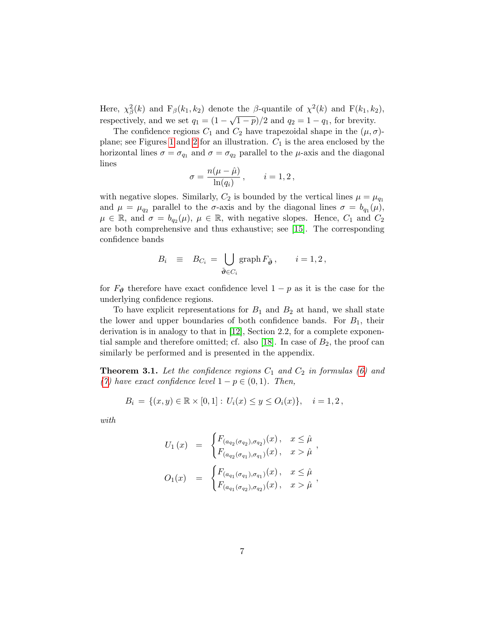Here,  $\chi^2_{\beta}(k)$  and  $F_{\beta}(k_1, k_2)$  denote the  $\beta$ -quantile of  $\chi^2(k)$  and  $F(k_1, k_2)$ , respectively, and we set  $q_1 = (1 - \sqrt{1-p})/2$  and  $q_2 = 1 - q_1$ , for brevity.

The confidence regions  $C_1$  and  $C_2$  have trapezoidal shape in the  $(\mu, \sigma)$ -plane; see Figures [1](#page-14-0) and [2](#page-15-0) for an illustration.  $C_1$  is the area enclosed by the horizontal lines  $\sigma = \sigma_{q_1}$  and  $\sigma = \sigma_{q_2}$  parallel to the  $\mu$ -axis and the diagonal lines

$$
\sigma = \frac{n(\mu - \hat{\mu})}{\ln(q_i)}, \qquad i = 1, 2,
$$

with negative slopes. Similarly,  $C_2$  is bounded by the vertical lines  $\mu = \mu_{q_1}$ and  $\mu = \mu_{q_2}$  parallel to the  $\sigma$ -axis and by the diagonal lines  $\sigma = b_{q_1}(\mu)$ ,  $\mu \in \mathbb{R}$ , and  $\sigma = b_{q_2}(\mu)$ ,  $\mu \in \mathbb{R}$ , with negative slopes. Hence,  $C_1$  and  $C_2$ are both comprehensive and thus exhaustive; see [\[15\]](#page-26-2). The corresponding confidence bands

$$
B_i \equiv B_{C_i} = \bigcup_{\tilde{\boldsymbol{\vartheta}} \in C_i} \operatorname{graph} F_{\tilde{\boldsymbol{\vartheta}}}, \quad i = 1, 2,
$$

for  $F_{\theta}$  therefore have exact confidence level  $1 - p$  as it is the case for the underlying confidence regions.

To have explicit representations for  $B_1$  and  $B_2$  at hand, we shall state the lower and upper boundaries of both confidence bands. For  $B_1$ , their derivation is in analogy to that in [\[12\]](#page-25-10), Section 2.2, for a complete exponen-tial sample and therefore omitted; cf. also [\[18\]](#page-26-5). In case of  $B_2$ , the proof can similarly be performed and is presented in the appendix.

<span id="page-6-0"></span>**Theorem 3.1.** Let the confidence regions  $C_1$  and  $C_2$  in formulas [\(6\)](#page-5-0) and [\(7\)](#page-5-1) have exact confidence level  $1 - p \in (0, 1)$ . Then,

$$
B_i = \{(x, y) \in \mathbb{R} \times [0, 1] : U_i(x) \le y \le O_i(x) \}, \quad i = 1, 2,
$$

with

$$
U_1(x) = \begin{cases} F_{(a_{q_2}(\sigma_{q_2}), \sigma_{q_2})}(x), & x \leq \hat{\mu} \\ F_{(a_{q_2}(\sigma_{q_1}), \sigma_{q_1})}(x), & x > \hat{\mu} \end{cases},
$$
  

$$
O_1(x) = \begin{cases} F_{(a_{q_1}(\sigma_{q_1}), \sigma_{q_1})}(x), & x \leq \hat{\mu} \\ F_{(a_{q_1}(\sigma_{q_2}), \sigma_{q_2})}(x), & x > \hat{\mu} \end{cases},
$$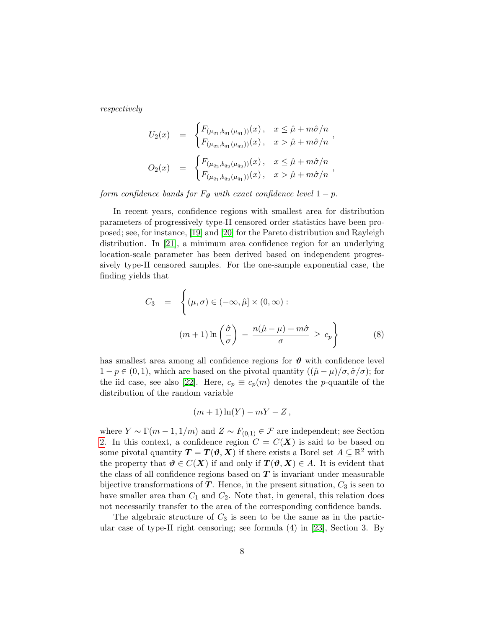respectively

$$
U_2(x) = \begin{cases} F_{(\mu_{q_1}, b_{q_1}(\mu_{q_1}))}(x), & x \le \hat{\mu} + m\hat{\sigma}/n \\ F_{(\mu_{q_2}, b_{q_1}(\mu_{q_2}))}(x), & x > \hat{\mu} + m\hat{\sigma}/n \end{cases},
$$
  

$$
O_2(x) = \begin{cases} F_{(\mu_{q_2}, b_{q_2}(\mu_{q_2}))}(x), & x \le \hat{\mu} + m\hat{\sigma}/n \\ F_{(\mu_{q_1}, b_{q_2}(\mu_{q_1}))}(x), & x > \hat{\mu} + m\hat{\sigma}/n \end{cases}
$$

form confidence bands for  $F_{\theta}$  with exact confidence level  $1 - p$ .

In recent years, confidence regions with smallest area for distribution parameters of progressively type-II censored order statistics have been proposed; see, for instance, [\[19\]](#page-26-6) and [\[20\]](#page-26-7) for the Pareto distribution and Rayleigh distribution. In [\[21\]](#page-26-8), a minimum area confidence region for an underlying location-scale parameter has been derived based on independent progressively type-II censored samples. For the one-sample exponential case, the finding yields that

<span id="page-7-0"></span>
$$
C_3 = \left\{ (\mu, \sigma) \in (-\infty, \hat{\mu}] \times (0, \infty) : \right.
$$

$$
(m+1)\ln\left(\frac{\hat{\sigma}}{\sigma}\right) - \frac{n(\hat{\mu} - \mu) + m\hat{\sigma}}{\sigma} \ge c_p \right\}
$$
(8)

has smallest area among all confidence regions for  $\vartheta$  with confidence level  $1 - p \in (0, 1)$ , which are based on the pivotal quantity  $((\hat{\mu} - \mu)/\sigma, \hat{\sigma}/\sigma)$ ; for the iid case, see also [\[22\]](#page-26-9). Here,  $c_p \equiv c_p(m)$  denotes the *p*-quantile of the distribution of the random variable

$$
(m+1)\ln(Y) - mY - Z,
$$

where  $Y \sim \Gamma(m-1, 1/m)$  and  $Z \sim F_{(0,1)} \in \mathcal{F}$  are independent; see Section [2.](#page-2-0) In this context, a confidence region  $C = C(X)$  is said to be based on some pivotal quantity  $T = T(\vartheta, X)$  if there exists a Borel set  $A \subseteq \mathbb{R}^2$  with the property that  $\theta \in C(X)$  if and only if  $T(\theta, X) \in A$ . It is evident that the class of all confidence regions based on  $T$  is invariant under measurable bijective transformations of  $T$ . Hence, in the present situation,  $C_3$  is seen to have smaller area than  $C_1$  and  $C_2$ . Note that, in general, this relation does not necessarily transfer to the area of the corresponding confidence bands.

The algebraic structure of  $C_3$  is seen to be the same as in the particular case of type-II right censoring; see formula (4) in [\[23\]](#page-26-10), Section 3. By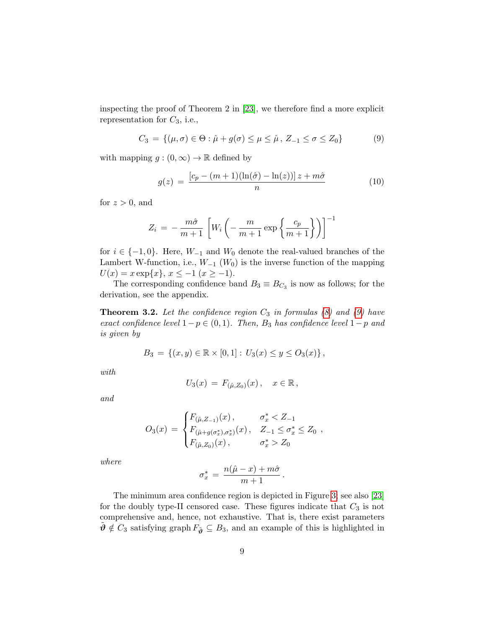inspecting the proof of Theorem 2 in [\[23\]](#page-26-10), we therefore find a more explicit representation for  $C_3$ , i.e.,

<span id="page-8-0"></span>
$$
C_3 = \{ (\mu, \sigma) \in \Theta : \hat{\mu} + g(\sigma) \le \mu \le \hat{\mu}, Z_{-1} \le \sigma \le Z_0 \}
$$
 (9)

with mapping  $g:(0,\infty)\to\mathbb{R}$  defined by

<span id="page-8-2"></span>
$$
g(z) = \frac{\left[c_p - (m+1)(\ln(\hat{\sigma}) - \ln(z))\right]z + m\hat{\sigma}}{n} \tag{10}
$$

for  $z > 0$ , and

$$
Z_i = -\frac{m\hat{\sigma}}{m+1} \left[ W_i \left( -\frac{m}{m+1} \exp\left\{ \frac{c_p}{m+1} \right\} \right) \right]^{-1}
$$

for  $i \in \{-1,0\}$ . Here,  $W_{-1}$  and  $W_0$  denote the real-valued branches of the Lambert W-function, i.e.,  $W_{-1}$  ( $W_0$ ) is the inverse function of the mapping  $U(x) = x \exp\{x\}, x \le -1 \ (x \ge -1).$ 

The corresponding confidence band  $B_3 \equiv B_{C_3}$  is now as follows; for the derivation, see the appendix.

<span id="page-8-1"></span>**Theorem 3.2.** Let the confidence region  $C_3$  in formulas [\(8\)](#page-7-0) and [\(9\)](#page-8-0) have exact confidence level  $1-p \in (0,1)$ . Then, B<sub>3</sub> has confidence level  $1-p$  and is given by

$$
B_3 = \{(x, y) \in \mathbb{R} \times [0, 1] : U_3(x) \le y \le O_3(x) \},
$$

with

$$
U_3(x) = F_{(\hat{\mu}, Z_0)}(x), \quad x \in \mathbb{R},
$$

and

$$
O_3(x) = \begin{cases} F_{(\hat{\mu}, Z_{-1})}(x), & \sigma_x^* < Z_{-1} \\ F_{(\hat{\mu} + g(\sigma_x^*), \sigma_x^*)}(x), & Z_{-1} \leq \sigma_x^* \leq Z_0 \\ F_{(\hat{\mu}, Z_0)}(x), & \sigma_x^* > Z_0 \end{cases}
$$

where

$$
\sigma_x^* = \frac{n(\hat{\mu} - x) + m\hat{\sigma}}{m+1}.
$$

The minimum area confidence region is depicted in Figure [3;](#page-15-1) see also [\[23\]](#page-26-10) for the doubly type-II censored case. These figures indicate that  $C_3$  is not comprehensive and, hence, not exhaustive. That is, there exist parameters  $\tilde{\boldsymbol{\vartheta}} \notin C_3$  satisfying graph  $F_{\tilde{\boldsymbol{\vartheta}}} \subseteq B_3$ , and an example of this is highlighted in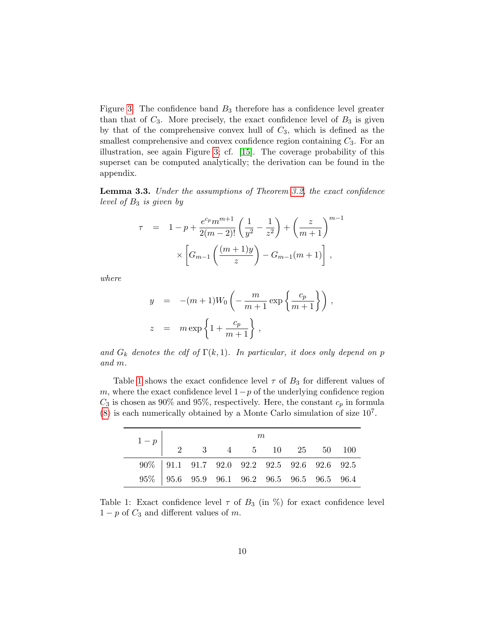Figure [3.](#page-15-1) The confidence band  $B_3$  therefore has a confidence level greater than that of  $C_3$ . More precisely, the exact confidence level of  $B_3$  is given by that of the comprehensive convex hull of  $C_3$ , which is defined as the smallest comprehensive and convex confidence region containing  $C_3$ . For an illustration, see again Figure [3;](#page-15-1) cf. [\[15\]](#page-26-2). The coverage probability of this superset can be computed analytically; the derivation can be found in the appendix.

<span id="page-9-1"></span>Lemma 3.3. Under the assumptions of Theorem [3.2,](#page-8-1) the exact confidence level of  $B_3$  is given by

$$
\tau = 1 - p + \frac{e^{c_p} m^{m+1}}{2(m-2)!} \left( \frac{1}{y^2} - \frac{1}{z^2} \right) + \left( \frac{z}{m+1} \right)^{m-1} \times \left[ G_{m-1} \left( \frac{(m+1)y}{z} \right) - G_{m-1}(m+1) \right],
$$

where

<span id="page-9-0"></span> $\overline{\phantom{0}}$ 

$$
y = -(m+1)W_0 \left(-\frac{m}{m+1} \exp\left\{\frac{c_p}{m+1}\right\}\right),
$$
  

$$
z = m \exp\left\{1 + \frac{c_p}{m+1}\right\},
$$

and  $G_k$  denotes the cdf of  $\Gamma(k,1)$ . In particular, it does only depend on p and m.

Table [1](#page-9-0) shows the exact confidence level  $\tau$  of  $B_3$  for different values of m, where the exact confidence level  $1-p$  of the underlying confidence region  $C_3$  is chosen as 90% and 95%, respectively. Here, the constant  $c_p$  in formula  $(8)$  is each numerically obtained by a Monte Carlo simulation of size  $10<sup>7</sup>$ .

|                                                | m<br>$\begin{array}{c cccccc} 1-p & & & & & & 2 & 3 & 4 & 5 & 10 & 25 & 50 & 100 \end{array}$ |  |  |  |  |  |                                                                                               |  |  |  |
|------------------------------------------------|-----------------------------------------------------------------------------------------------|--|--|--|--|--|-----------------------------------------------------------------------------------------------|--|--|--|
|                                                |                                                                                               |  |  |  |  |  |                                                                                               |  |  |  |
|                                                |                                                                                               |  |  |  |  |  | $90\% \begin{array}{ ccc } 91.1 & 91.7 & 92.0 & 92.2 & 92.5 & 92.6 & 92.6 & 92.5 \end{array}$ |  |  |  |
| $95\%$ 95.6 95.9 96.1 96.2 96.5 96.5 96.5 96.4 |                                                                                               |  |  |  |  |  |                                                                                               |  |  |  |

Table 1: Exact confidence level  $\tau$  of  $B_3$  (in  $\%$ ) for exact confidence level  $1-p$  of  $C_3$  and different values of m.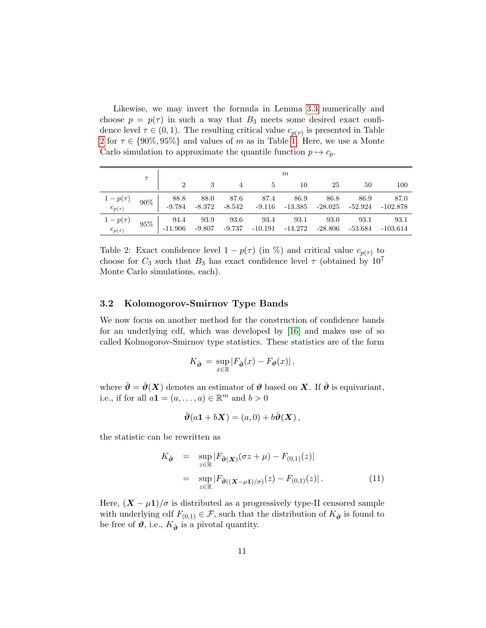Likewise, we may invert the formula in Lemma [3.3](#page-9-1) numerically and choose  $p = p(\tau)$  in such a way that  $B_3$  meets some desired exact confidence level  $\tau \in (0,1)$ . The resulting critical value  $c_{p(\tau)}$  is presented in Table [2](#page-10-1) for  $\tau \in \{90\%, 95\%\}\$  and values of m as in Table [1.](#page-9-0) Here, we use a Monte Carlo simulation to approximate the quantile function  $p \mapsto c_p$ .

|                                                                    |  |                  |                  |                |                              | m               |                 |                 |                    |
|--------------------------------------------------------------------|--|------------------|------------------|----------------|------------------------------|-----------------|-----------------|-----------------|--------------------|
|                                                                    |  |                  |                  |                | -5                           | 10              | 25              | 50              | 100                |
| $\begin{array}{cc} 1-p(\tau) & 90\% \\ c_{p(\tau)} & \end{array}$  |  | 88.8<br>$-9.784$ | 88.0<br>-8.372   | 87.6<br>-8.542 | - 87.4<br>$-9.116$ $-13.385$ | 86.9            | 86.8<br>-28.025 | 86.9<br>-52.924 | 87.0<br>-102.878   |
| $\begin{array}{cc} 1-p(\tau) & 95\% \ c_{p(\tau)} & \end{array}$ - |  | 94.4<br>11.906-  | 93.9<br>$-9.807$ | 93.6<br>-9.737 | 93.4<br>-10.191              | 93.1<br>-14.272 | 93.0<br>-28.806 | 93.1<br>-53.684 | 93.1<br>$-103.614$ |

<span id="page-10-1"></span>Table 2: Exact confidence level  $1 - p(\tau)$  (in %) and critical value  $c_{p(\tau)}$  to choose for  $C_3$  such that  $B_3$  has exact confidence level  $\tau$  (obtained by  $10^7$ ) Monte Carlo simulations, each).

#### <span id="page-10-0"></span>3.2 Kolomogorov-Smirnov Type Bands

We now focus on another method for the construction of confidence bands for an underlying cdf, which was developed by [\[16\]](#page-26-3) and makes use of so called Kolmogorov-Smirnov type statistics. These statistics are of the form

$$
K_{\check{\boldsymbol{\vartheta}}} = \sup_{x \in \mathbb{R}} |F_{\check{\boldsymbol{\vartheta}}}(x) - F_{\boldsymbol{\vartheta}}(x)|,
$$

where  $\check{\theta} = \check{\theta}(X)$  denotes an estimator of  $\theta$  based on X. If  $\check{\theta}$  is equivariant, i.e., if for all  $a\mathbf{1} = (a, \ldots, a) \in \mathbb{R}^m$  and  $b > 0$ 

$$
\check{\boldsymbol{\vartheta}}(a\boldsymbol{1} + b\boldsymbol{X}) = (a,0) + b\check{\boldsymbol{\vartheta}}(\boldsymbol{X}),
$$

the statistic can be rewritten as

<span id="page-10-2"></span>
$$
K_{\check{\boldsymbol{\vartheta}}} = \sup_{z \in \mathbb{R}} |F_{\check{\boldsymbol{\vartheta}}(\boldsymbol{X})}(\sigma z + \mu) - F_{(0,1)}(z)|
$$
  

$$
= \sup_{z \in \mathbb{R}} |F_{\check{\boldsymbol{\vartheta}}((\boldsymbol{X} - \mu \mathbf{1})/\sigma)}(z) - F_{(0,1)}(z)|.
$$
 (11)

Here,  $(X - \mu 1)/\sigma$  is distributed as a progressively type-II censored sample with underlying cdf  $F_{(0,1)} \in \mathcal{F}$ , such that the distribution of  $K_{\check{\theta}}$  is found to be free of  $\theta$ , i.e.,  $K_{\check{\theta}}$  is a pivotal quantity.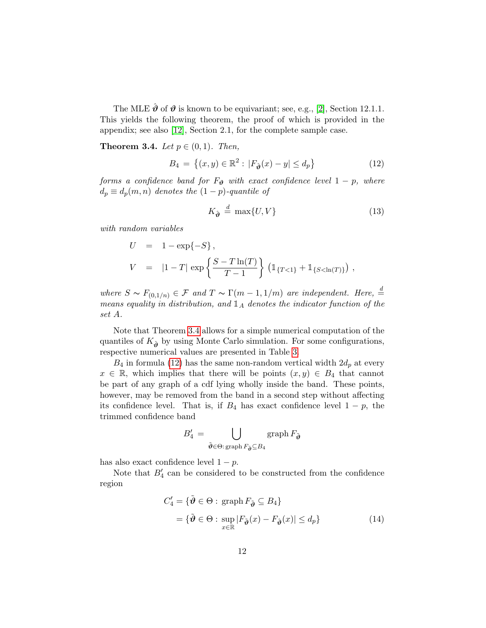The MLE  $\hat{\boldsymbol{\vartheta}}$  of  $\boldsymbol{\vartheta}$  is known to be equivariant; see, e.g., [\[2\]](#page-25-1), Section 12.1.1. This yields the following theorem, the proof of which is provided in the appendix; see also [\[12\]](#page-25-10), Section 2.1, for the complete sample case.

<span id="page-11-0"></span>**Theorem 3.4.** Let  $p \in (0,1)$ . Then,

<span id="page-11-1"></span>
$$
B_4 = \{(x, y) \in \mathbb{R}^2 : |F_{\hat{\boldsymbol{\vartheta}}}(x) - y| \le d_p\}
$$
 (12)

forms a confidence band for  $F_{\theta}$  with exact confidence level  $1 - p$ , where  $d_p \equiv d_p(m, n)$  denotes the  $(1-p)$ -quantile of

<span id="page-11-3"></span>
$$
K_{\hat{\theta}} \stackrel{d}{=} \max\{U, V\} \tag{13}
$$

with random variables

$$
U = 1 - \exp{-S},
$$
  
\n
$$
V = |1 - T| \exp \left\{ \frac{S - T \ln(T)}{T - 1} \right\} (1_{\{T < 1\}} + 1_{\{S < \ln(T)\}}),
$$

where  $S \sim F_{(0,1/n)} \in \mathcal{F}$  and  $T \sim \Gamma(m-1,1/m)$  are independent. Here,  $\stackrel{d}{=}$ means equality in distribution, and  $\mathbb{1}_A$  denotes the indicator function of the set A.

Note that Theorem [3.4](#page-11-0) allows for a simple numerical computation of the quantiles of  $K_{\hat{\theta}}$  by using Monte Carlo simulation. For some configurations, respective numerical values are presented in Table [3.](#page-12-0)

 $B_4$  in formula [\(12\)](#page-11-1) has the same non-random vertical width  $2d_p$  at every  $x \in \mathbb{R}$ , which implies that there will be points  $(x, y) \in B_4$  that cannot be part of any graph of a cdf lying wholly inside the band. These points, however, may be removed from the band in a second step without affecting its confidence level. That is, if  $B_4$  has exact confidence level  $1 - p$ , the trimmed confidence band

<span id="page-11-2"></span>
$$
B_4' = \bigcup_{\tilde{\boldsymbol{\vartheta}} \in \Theta: \text{ graph } F_{\tilde{\boldsymbol{\vartheta}}} \subseteq B_4} \text{ graph } F_{\tilde{\boldsymbol{\vartheta}}}
$$

has also exact confidence level  $1 - p$ .

Note that  $B_4'$  can be considered to be constructed from the confidence region

$$
C'_4 = \{ \tilde{\boldsymbol{\vartheta}} \in \Theta : \operatorname{graph} F_{\tilde{\boldsymbol{\vartheta}}} \subseteq B_4 \}
$$
  
= \{ \tilde{\boldsymbol{\vartheta}} \in \Theta : \operatorname{sup} |F\_{\tilde{\boldsymbol{\vartheta}}}(x) - F\_{\hat{\boldsymbol{\vartheta}}}(x)| \le d\_p \} (14)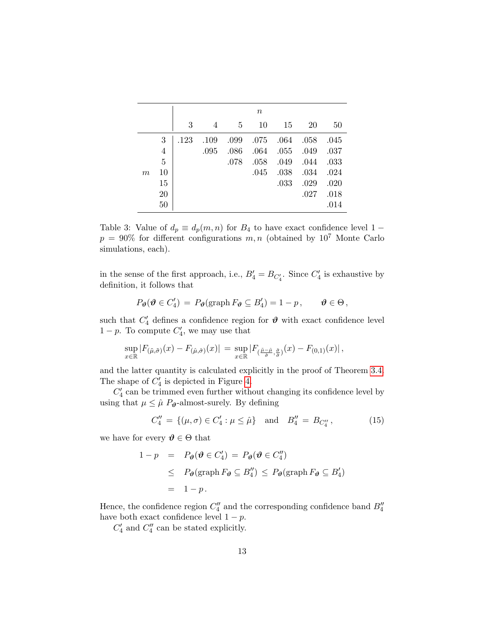|                  |                | $\it n$ |      |      |      |      |      |      |  |  |
|------------------|----------------|---------|------|------|------|------|------|------|--|--|
|                  |                | 3       | 4    | 5    | 10   | 15   | 20   | 50   |  |  |
|                  | 3              | .123    | .109 | .099 | .075 | .064 | .058 | .045 |  |  |
|                  | $\overline{4}$ |         | .095 | .086 | .064 | .055 | .049 | .037 |  |  |
|                  | 5              |         |      | .078 | .058 | .049 | .044 | .033 |  |  |
| $\boldsymbol{m}$ | 10             |         |      |      | .045 | .038 | .034 | .024 |  |  |
|                  | 15             |         |      |      |      | .033 | .029 | .020 |  |  |
|                  | 20             |         |      |      |      |      | .027 | .018 |  |  |
|                  | 50             |         |      |      |      |      |      | .014 |  |  |

<span id="page-12-0"></span>Table 3: Value of  $d_p \equiv d_p(m, n)$  for  $B_4$  to have exact confidence level 1 −  $p = 90\%$  for different configurations  $m, n$  (obtained by  $10^7$  Monte Carlo simulations, each).

in the sense of the first approach, i.e.,  $B'_4 = B_{C'_4}$ . Since  $C'_4$  is exhaustive by definition, it follows that

$$
P_{\boldsymbol{\vartheta}}(\boldsymbol{\vartheta} \in C'_4) = P_{\boldsymbol{\vartheta}}(\operatorname{graph} F_{\boldsymbol{\vartheta}} \subseteq B'_4) = 1 - p, \qquad \boldsymbol{\vartheta} \in \Theta,
$$

such that  $C_4'$  defines a confidence region for  $\boldsymbol{\vartheta}$  with exact confidence level  $1-p$ . To compute  $C_4'$ , we may use that

$$
\sup_{x\in\mathbb{R}}|F_{(\tilde{\mu},\tilde{\sigma})}(x)-F_{(\hat{\mu},\hat{\sigma})}(x)|=\sup_{x\in\mathbb{R}}|F_{(\frac{\tilde{\mu}-\hat{\mu}}{\hat{\sigma}},\frac{\tilde{\sigma}}{\hat{\sigma}})}(x)-F_{(0,1)}(x)|\,,
$$

and the latter quantity is calculated explicitly in the proof of Theorem [3.4.](#page-11-0) The shape of  $C_4'$  is depicted in Figure [4.](#page-16-1)

 $C_4^\prime$  can be trimmed even further without changing its confidence level by using that  $\mu \leq \hat{\mu} P_{\theta}$ -almost-surely. By defining

<span id="page-12-1"></span>
$$
C_4'' = \{ (\mu, \sigma) \in C_4' : \mu \le \hat{\mu} \} \text{ and } B_4'' = B_{C_4''}, \quad (15)
$$

we have for every  $\theta \in \Theta$  that

$$
1 - p = P_{\theta}(\theta \in C_4') = P_{\theta}(\theta \in C_4'')
$$
  
\n
$$
\leq P_{\theta}(\text{graph } F_{\theta} \subseteq B_4'') \leq P_{\theta}(\text{graph } F_{\theta} \subseteq B_4')
$$
  
\n
$$
= 1 - p.
$$

Hence, the confidence region  $C_4''$  and the corresponding confidence band  $B_4''$ have both exact confidence level  $1 - p$ .

 $C_4'$  and  $C_4''$  can be stated explicitly.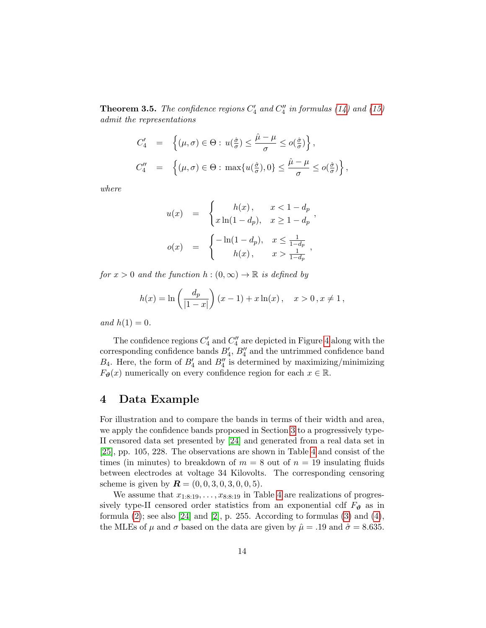<span id="page-13-1"></span>**Theorem 3.5.** The confidence regions  $C_4'$  and  $C_4''$  in formulas [\(14\)](#page-11-2) and [\(15\)](#page-12-1) admit the representations

$$
C_4' = \left\{ (\mu, \sigma) \in \Theta : u(\frac{\hat{\sigma}}{\sigma}) \le \frac{\hat{\mu} - \mu}{\sigma} \le o(\frac{\hat{\sigma}}{\sigma}) \right\},\
$$
  

$$
C_4'' = \left\{ (\mu, \sigma) \in \Theta : \max\{u(\frac{\hat{\sigma}}{\sigma}), 0\} \le \frac{\hat{\mu} - \mu}{\sigma} \le o(\frac{\hat{\sigma}}{\sigma}) \right\},\
$$

where

$$
u(x) = \begin{cases} h(x), & x < 1 - d_p \\ x \ln(1 - d_p), & x \ge 1 - d_p \end{cases},
$$
  

$$
o(x) = \begin{cases} -\ln(1 - d_p), & x \le \frac{1}{1 - d_p} \\ h(x), & x > \frac{1}{1 - d_p} \end{cases},
$$

for  $x > 0$  and the function  $h : (0, \infty) \to \mathbb{R}$  is defined by

$$
h(x) = \ln\left(\frac{d_p}{|1-x|}\right)(x-1) + x\ln(x), \quad x > 0, x \neq 1,
$$

and  $h(1) = 0$ .

The confidence regions  $C_4'$  and  $C_4''$  are depicted in Figure [4](#page-16-1) along with the corresponding confidence bands  $B'_4$ ,  $B''_4$  and the untrimmed confidence band  $B_4$ . Here, the form of  $B'_4$  and  $B''_4$  is determined by maximizing/minimizing  $F_{\theta}(x)$  numerically on every confidence region for each  $x \in \mathbb{R}$ .

## <span id="page-13-0"></span>4 Data Example

For illustration and to compare the bands in terms of their width and area, we apply the confidence bands proposed in Section [3](#page-3-0) to a progressively type-II censored data set presented by [\[24\]](#page-26-11) and generated from a real data set in [\[25\]](#page-26-12), pp. 105, 228. The observations are shown in Table [4](#page-14-1) and consist of the times (in minutes) to breakdown of  $m = 8$  out of  $n = 19$  insulating fluids between electrodes at voltage 34 Kilovolts. The corresponding censoring scheme is given by  $\mathbf{R} = (0, 0, 3, 0, 3, 0, 0, 5)$ .

We assume that  $x_{1:8:19}, \ldots, x_{8:8:19}$  in Table [4](#page-14-1) are realizations of progressively type-II censored order statistics from an exponential cdf  $F_{\theta}$  as in formula  $(2)$ ; see also  $[24]$  and  $[2]$ , p. 255. According to formulas  $(3)$  and  $(4)$ , the MLEs of  $\mu$  and  $\sigma$  based on the data are given by  $\hat{\mu} = .19$  and  $\hat{\sigma} = 8.635$ .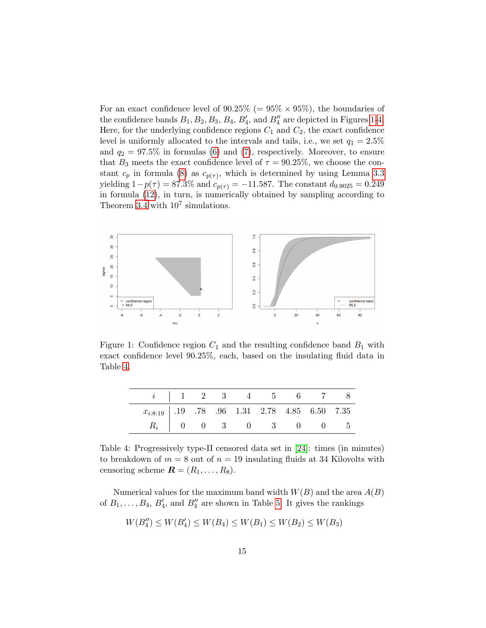For an exact confidence level of  $90.25\%$  (=  $95\% \times 95\%$ ), the boundaries of the confidence bands  $B_1, B_2, B_3, B_4, B'_4$ , and  $B''_4$  are depicted in Figures [1](#page-14-0)[-4.](#page-16-1) Here, for the underlying confidence regions  $C_1$  and  $C_2$ , the exact confidence level is uniformly allocated to the intervals and tails, i.e., we set  $q_1 = 2.5\%$ and  $q_2 = 97.5\%$  in formulas [\(6\)](#page-5-0) and [\(7\)](#page-5-1), respectively. Moreover, to ensure that  $B_3$  meets the exact confidence level of  $\tau = 90.25\%$ , we choose the constant  $c_p$  in formula [\(8\)](#page-7-0) as  $c_{p(\tau)}$ , which is determined by using Lemma [3.3](#page-9-1) yielding  $1-p(\tau) = 87.3\%$  and  $c_{p(\tau)} = -11.587$ . The constant  $d_{0.9025} = 0.249$ in formula [\(12\)](#page-11-1), in turn, is numerically obtained by sampling according to Theorem [3.4](#page-11-0) with  $10^7$  simulations.



<span id="page-14-0"></span>Figure 1: Confidence region  $C_1$  and the resulting confidence band  $B_1$  with exact confidence level 90.25%, each, based on the insulating fluid data in Table [4.](#page-14-1)

|                                                   |  |  | $i$   1 2 3 4 5 6 7 8   |  |
|---------------------------------------------------|--|--|-------------------------|--|
| $x_{i:8:19}$ .19 .78 .96 1.31 2.78 4.85 6.50 7.35 |  |  |                         |  |
|                                                   |  |  | $R_i$   0 0 3 0 3 0 0 5 |  |

<span id="page-14-1"></span>Table 4: Progressively type-II censored data set in [\[24\]](#page-26-11): times (in minutes) to breakdown of  $m = 8$  out of  $n = 19$  insulating fluids at 34 Kilovolts with censoring scheme  $\mathbf{R} = (R_1, \ldots, R_8)$ .

Numerical values for the maximum band width  $W(B)$  and the area  $A(B)$ of  $B_1, \ldots, B_4, B'_4$ , and  $B''_4$  are shown in Table [5.](#page-16-2) It gives the rankings

$$
W(B_4'') \le W(B_4') \le W(B_4) \le W(B_1) \le W(B_2) \le W(B_3)
$$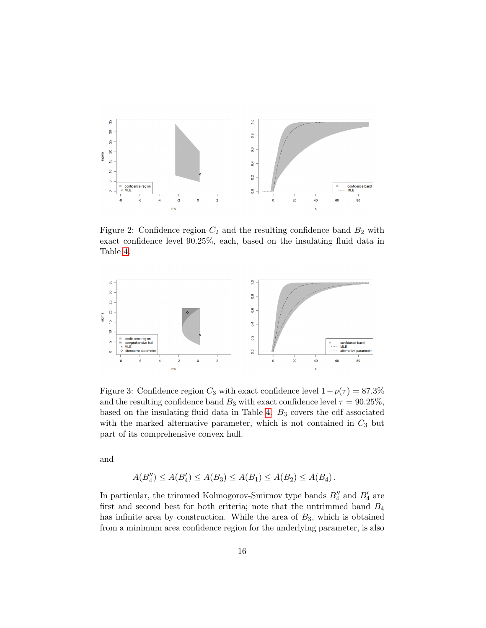

<span id="page-15-0"></span>Figure 2: Confidence region  $C_2$  and the resulting confidence band  $B_2$  with exact confidence level 90.25%, each, based on the insulating fluid data in Table [4.](#page-14-1)



<span id="page-15-1"></span>Figure 3: Confidence region  $C_3$  with exact confidence level  $1-p(\tau) = 87.3\%$ and the resulting confidence band  $B_3$  with exact confidence level  $\tau = 90.25\%$ , based on the insulating fluid data in Table [4.](#page-14-1)  $B_3$  covers the cdf associated with the marked alternative parameter, which is not contained in  $C_3$  but part of its comprehensive convex hull.

and

$$
A(B_4'') \le A(B_4') \le A(B_3) \le A(B_1) \le A(B_2) \le A(B_4).
$$

In particular, the trimmed Kolmogorov-Smirnov type bands  $B_4''$  and  $B_4'$  are first and second best for both criteria; note that the untrimmed band  $B_4$ has infinite area by construction. While the area of  $B_3$ , which is obtained from a minimum area confidence region for the underlying parameter, is also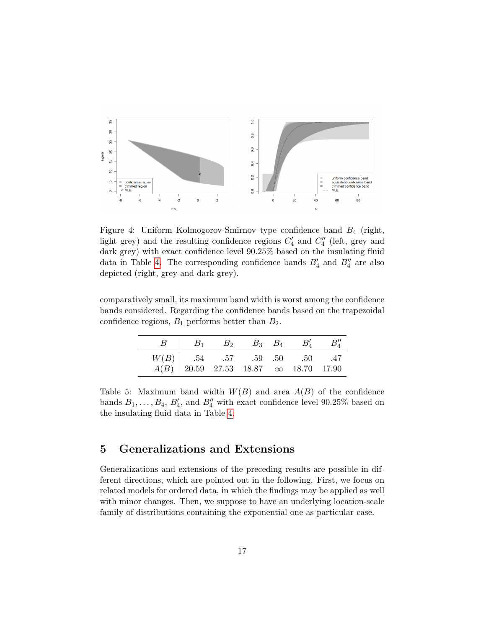

<span id="page-16-1"></span>Figure 4: Uniform Kolmogorov-Smirnov type confidence band  $B_4$  (right, light grey) and the resulting confidence regions  $C_4'$  and  $C_4''$  (left, grey and dark grey) with exact confidence level 90.25% based on the insulating fluid data in Table [4.](#page-14-1) The corresponding confidence bands  $B'_4$  and  $B''_4$  are also depicted (right, grey and dark grey).

comparatively small, its maximum band width is worst among the confidence bands considered. Regarding the confidence bands based on the trapezoidal confidence regions,  $B_1$  performs better than  $B_2$ .

|                                                                                                                                           | $B \parallel B_1 \parallel B_2 \parallel B_3 \parallel B_4 \parallel B_4'' \parallel B_4''$ |  |  |
|-------------------------------------------------------------------------------------------------------------------------------------------|---------------------------------------------------------------------------------------------|--|--|
|                                                                                                                                           |                                                                                             |  |  |
| $\begin{array}{c ccccc} W(B) & .54 & .57 & .59 & .50 & .50 & .47 \\ A(B) & 20.59 & 27.53 & 18.87 & \infty & 18.70 & 17.90 \\ \end{array}$ |                                                                                             |  |  |

<span id="page-16-2"></span>Table 5: Maximum band width  $W(B)$  and area  $A(B)$  of the confidence bands  $B_1, \ldots, B_4, B'_4$ , and  $B''_4$  with exact confidence level 90.25% based on the insulating fluid data in Table [4.](#page-14-1)

# <span id="page-16-0"></span>5 Generalizations and Extensions

Generalizations and extensions of the preceding results are possible in different directions, which are pointed out in the following. First, we focus on related models for ordered data, in which the findings may be applied as well with minor changes. Then, we suppose to have an underlying location-scale family of distributions containing the exponential one as particular case.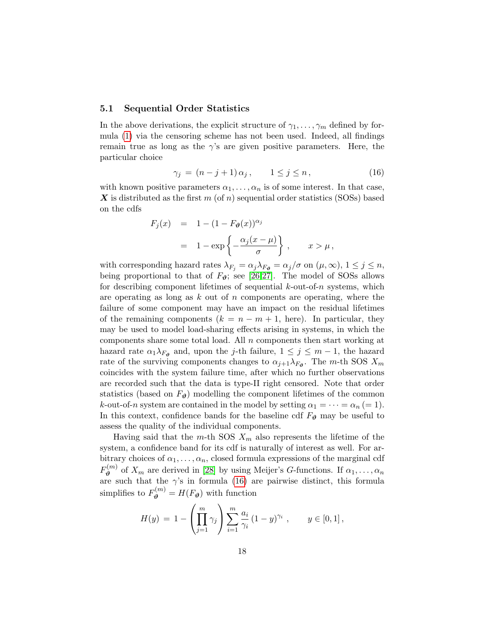#### <span id="page-17-0"></span>5.1 Sequential Order Statistics

In the above derivations, the explicit structure of  $\gamma_1, \ldots, \gamma_m$  defined by formula [\(1\)](#page-2-1) via the censoring scheme has not been used. Indeed, all findings remain true as long as the  $\gamma$ 's are given positive parameters. Here, the particular choice

<span id="page-17-1"></span>
$$
\gamma_j = (n-j+1)\,\alpha_j\,, \qquad 1 \le j \le n\,, \tag{16}
$$

with known positive parameters  $\alpha_1, \ldots, \alpha_n$  is of some interest. In that case, X is distributed as the first m (of n) sequential order statistics (SOSs) based on the cdfs

$$
F_j(x) = 1 - (1 - F_{\theta}(x))^{\alpha_j}
$$
  
= 1 - exp $\left\{-\frac{\alpha_j(x - \mu)}{\sigma}\right\}$ ,  $x > \mu$ ,

with corresponding hazard rates  $\lambda_{F_i} = \alpha_j \lambda_{F_i} = \alpha_j/\sigma$  on  $(\mu, \infty)$ ,  $1 \leq j \leq n$ , being proportional to that of  $F_{\theta}$ ; see [\[26](#page-26-13)[,27\]](#page-27-0). The model of SOSs allows for describing component lifetimes of sequential  $k$ -out-of-n systems, which are operating as long as  $k$  out of  $n$  components are operating, where the failure of some component may have an impact on the residual lifetimes of the remaining components  $(k = n - m + 1, \text{ here})$ . In particular, they may be used to model load-sharing effects arising in systems, in which the components share some total load. All  $n$  components then start working at hazard rate  $\alpha_1 \lambda_{F_{\theta}}$  and, upon the *j*-th failure,  $1 \leq j \leq m-1$ , the hazard rate of the surviving components changes to  $\alpha_{j+1}\lambda_{F_{\theta}}$ . The m-th SOS  $X_m$ coincides with the system failure time, after which no further observations are recorded such that the data is type-II right censored. Note that order statistics (based on  $F_{\theta}$ ) modelling the component lifetimes of the common k-out-of-n system are contained in the model by setting  $\alpha_1 = \cdots = \alpha_n (= 1)$ . In this context, confidence bands for the baseline cdf  $F_{\theta}$  may be useful to assess the quality of the individual components.

Having said that the m-th SOS  $X_m$  also represents the lifetime of the system, a confidence band for its cdf is naturally of interest as well. For arbitrary choices of  $\alpha_1, \ldots, \alpha_n$ , closed formula expressions of the marginal cdf  $F^{(m)}_{\boldsymbol{\vartheta}}$  $\mathcal{O}_{\theta}^{(m)}$  of  $X_m$  are derived in [\[28\]](#page-27-1) by using Meijer's G-functions. If  $\alpha_1, \ldots, \alpha_n$ are such that the  $\gamma$ 's in formula [\(16\)](#page-17-1) are pairwise distinct, this formula simplifies to  $F_{\theta}^{(m)} = H(F_{\theta})$  with function

$$
H(y) = 1 - \left(\prod_{j=1}^{m} \gamma_j\right) \sum_{i=1}^{m} \frac{a_i}{\gamma_i} (1 - y)^{\gamma_i}, \qquad y \in [0, 1],
$$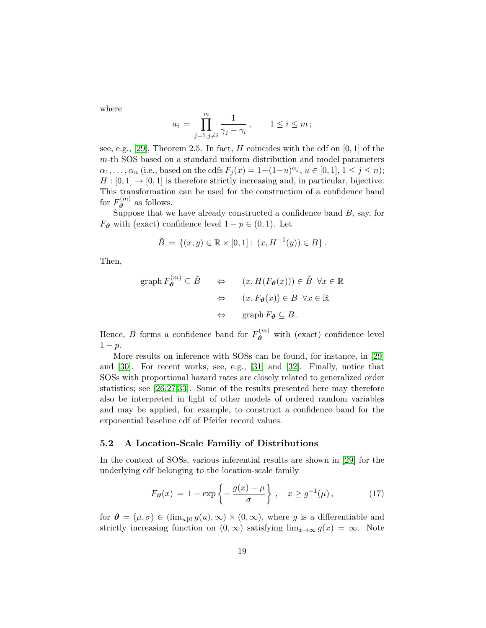where

$$
a_i = \prod_{j=1, j \neq i}^m \frac{1}{\gamma_j - \gamma_i}, \qquad 1 \le i \le m;
$$

see, e.g., [\[29\]](#page-27-2), Theorem 2.5. In fact,  $H$  coincides with the cdf on [0, 1] of the m-th SOS based on a standard uniform distribution and model parameters  $\alpha_1, \ldots, \alpha_n$  (i.e., based on the cdfs  $F_j(x) = 1-(1-u)^{\alpha_j}, u \in [0,1], 1 \le j \le n$ );  $H : [0, 1] \to [0, 1]$  is therefore strictly increasing and, in particular, bijective. This transformation can be used for the construction of a confidence band for  $F^{(m)}_{\boldsymbol{p}}$  $\mathfrak{v}_{\theta}^{(m)}$  as follows.

Suppose that we have already constructed a confidence band  $B$ , say, for  $F_{\theta}$  with (exact) confidence level  $1 - p \in (0, 1)$ . Let

$$
\breve{B} = \{ (x, y) \in \mathbb{R} \times [0, 1] : (x, H^{-1}(y)) \in B \}.
$$

Then,

$$
\begin{array}{rcl}\n\text{graph}\,F_{\theta}^{(m)}\subseteq \check{B} & \Leftrightarrow & (x, H(F_{\theta}(x))) \in \check{B}\, \,\forall x \in \mathbb{R} \\
& \Leftrightarrow & (x, F_{\theta}(x)) \in B \, \,\forall x \in \mathbb{R} \\
& \Leftrightarrow & \text{graph}\,F_{\theta} \subseteq B \,.\n\end{array}
$$

Hence,  $\check{B}$  forms a confidence band for  $F_{\theta}^{(m)}$  with (exact) confidence level  $1-p$ .

More results on inference with SOSs can be found, for instance, in [\[29\]](#page-27-2) and [\[30\]](#page-27-3). For recent works, see, e.g., [\[31\]](#page-27-4) and [\[32\]](#page-27-5). Finally, notice that SOSs with proportional hazard rates are closely related to generalized order statistics; see [\[26](#page-26-13)[,27](#page-27-0)[,33\]](#page-27-6). Some of the results presented here may therefore also be interpreted in light of other models of ordered random variables and may be applied, for example, to construct a confidence band for the exponential baseline cdf of Pfeifer record values.

#### <span id="page-18-0"></span>5.2 A Location-Scale Familiy of Distributions

In the context of SOSs, various inferential results are shown in [\[29\]](#page-27-2) for the underlying cdf belonging to the location-scale family

<span id="page-18-1"></span>
$$
F_{\theta}(x) = 1 - \exp\left\{-\frac{g(x) - \mu}{\sigma}\right\}, \quad x \ge g^{-1}(\mu), \tag{17}
$$

for  $\mathbf{\hat{\theta}} = (\mu, \sigma) \in (\lim_{u \downarrow 0} g(u), \infty) \times (0, \infty)$ , where g is a differentiable and strictly increasing function on  $(0, \infty)$  satisfying  $\lim_{x\to\infty} g(x) = \infty$ . Note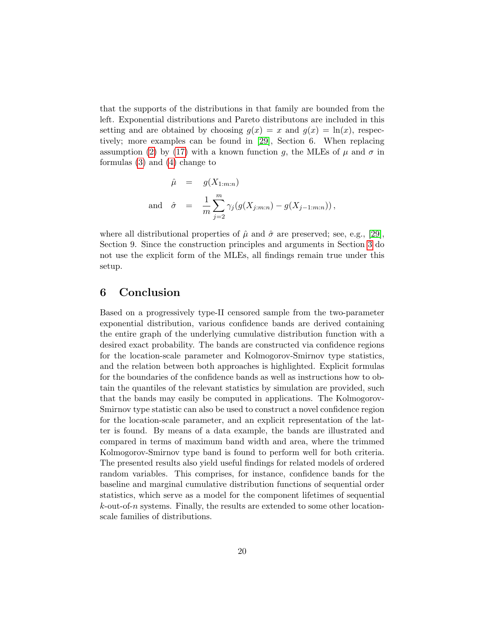that the supports of the distributions in that family are bounded from the left. Exponential distributions and Pareto distributons are included in this setting and are obtained by choosing  $g(x) = x$  and  $g(x) = \ln(x)$ , respectively; more examples can be found in [\[29\]](#page-27-2), Section 6. When replacing assumption [\(2\)](#page-3-1) by [\(17\)](#page-18-1) with a known function g, the MLEs of  $\mu$  and  $\sigma$  in formulas [\(3\)](#page-3-2) and [\(4\)](#page-3-2) change to

$$
\hat{\mu} = g(X_{1:m:n})
$$
  
and 
$$
\hat{\sigma} = \frac{1}{m} \sum_{j=2}^{m} \gamma_j (g(X_{j:m:n}) - g(X_{j-1:m:n})),
$$

where all distributional properties of  $\hat{\mu}$  and  $\hat{\sigma}$  are preserved; see, e.g., [\[29\]](#page-27-2), Section 9. Since the construction principles and arguments in Section [3](#page-3-0) do not use the explicit form of the MLEs, all findings remain true under this setup.

# <span id="page-19-0"></span>6 Conclusion

Based on a progressively type-II censored sample from the two-parameter exponential distribution, various confidence bands are derived containing the entire graph of the underlying cumulative distribution function with a desired exact probability. The bands are constructed via confidence regions for the location-scale parameter and Kolmogorov-Smirnov type statistics, and the relation between both approaches is highlighted. Explicit formulas for the boundaries of the confidence bands as well as instructions how to obtain the quantiles of the relevant statistics by simulation are provided, such that the bands may easily be computed in applications. The Kolmogorov-Smirnov type statistic can also be used to construct a novel confidence region for the location-scale parameter, and an explicit representation of the latter is found. By means of a data example, the bands are illustrated and compared in terms of maximum band width and area, where the trimmed Kolmogorov-Smirnov type band is found to perform well for both criteria. The presented results also yield useful findings for related models of ordered random variables. This comprises, for instance, confidence bands for the baseline and marginal cumulative distribution functions of sequential order statistics, which serve as a model for the component lifetimes of sequential  $k$ -out-of-n systems. Finally, the results are extended to some other locationscale families of distributions.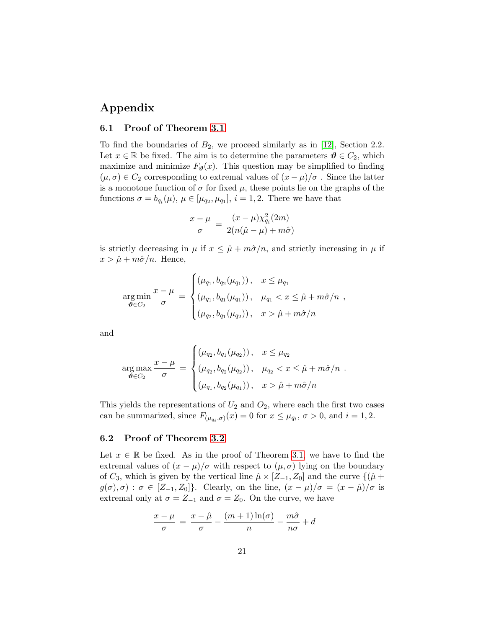# Appendix

#### 6.1 Proof of Theorem [3.1](#page-6-0)

To find the boundaries of  $B_2$ , we proceed similarly as in [\[12\]](#page-25-10), Section 2.2. Let  $x \in \mathbb{R}$  be fixed. The aim is to determine the parameters  $\theta \in C_2$ , which maximize and minimize  $F_{\theta}(x)$ . This question may be simplified to finding  $(\mu, \sigma) \in C_2$  corresponding to extremal values of  $(x - \mu)/\sigma$ . Since the latter is a monotone function of  $\sigma$  for fixed  $\mu$ , these points lie on the graphs of the functions  $\sigma = b_{q_i}(\mu)$ ,  $\mu \in [\mu_{q_2}, \mu_{q_1}]$ ,  $i = 1, 2$ . There we have that

$$
\frac{x-\mu}{\sigma} = \frac{(x-\mu)\chi_{q_i}^2(2m)}{2(n(\hat{\mu}-\mu)+m\hat{\sigma})}
$$

is strictly decreasing in  $\mu$  if  $x \leq \hat{\mu} + m\hat{\sigma}/n$ , and strictly increasing in  $\mu$  if  $x > \hat{\mu} + m\hat{\sigma}/n$ . Hence,

$$
\underset{\theta \in C_2}{\arg \min} \frac{x - \mu}{\sigma} = \begin{cases} (\mu_{q_1}, b_{q_2}(\mu_{q_1})), & x \leq \mu_{q_1} \\ (\mu_{q_1}, b_{q_1}(\mu_{q_1})), & \mu_{q_1} < x \leq \hat{\mu} + m\hat{\sigma}/n \\ (\mu_{q_2}, b_{q_1}(\mu_{q_2})), & x > \hat{\mu} + m\hat{\sigma}/n \end{cases},
$$

and

$$
\arg \max_{\boldsymbol{\vartheta} \in C_2} \frac{x - \mu}{\sigma} = \begin{cases} (\mu_{q_2}, b_{q_1}(\mu_{q_2})), & x \leq \mu_{q_2} \\ (\mu_{q_2}, b_{q_2}(\mu_{q_2})), & \mu_{q_2} < x \leq \hat{\mu} + m\hat{\sigma}/n \\ (\mu_{q_1}, b_{q_2}(\mu_{q_1})), & x > \hat{\mu} + m\hat{\sigma}/n \end{cases}.
$$

This yields the representations of  $U_2$  and  $O_2$ , where each the first two cases can be summarized, since  $F_{(\mu_{q_i}, \sigma)}(x) = 0$  for  $x \le \mu_{q_i}, \sigma > 0$ , and  $i = 1, 2$ .

#### 6.2 Proof of Theorem [3.2](#page-8-1)

Let  $x \in \mathbb{R}$  be fixed. As in the proof of Theorem [3.1,](#page-6-0) we have to find the extremal values of  $(x - \mu)/\sigma$  with respect to  $(\mu, \sigma)$  lying on the boundary of  $C_3$ , which is given by the vertical line  $\hat{\mu} \times [Z_{-1}, Z_0]$  and the curve  $\{(\hat{\mu} +$  $g(\sigma), \sigma$  :  $\sigma \in [Z_{-1}, Z_0]$ . Clearly, on the line,  $(x - \mu)/\sigma = (x - \hat{\mu})/\sigma$  is extremal only at  $\sigma = Z_{-1}$  and  $\sigma = Z_0$ . On the curve, we have

$$
\frac{x-\mu}{\sigma} = \frac{x-\hat{\mu}}{\sigma} - \frac{(m+1)\ln(\sigma)}{n} - \frac{m\hat{\sigma}}{n\sigma} + d
$$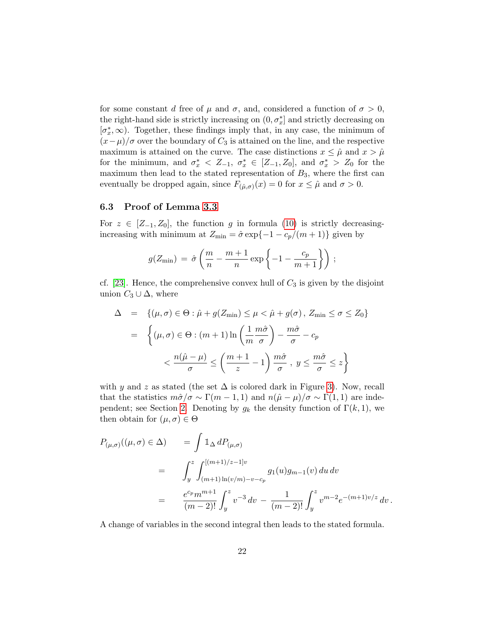for some constant d free of  $\mu$  and  $\sigma$ , and, considered a function of  $\sigma > 0$ , the right-hand side is strictly increasing on  $(0, \sigma_x^*]$  and strictly decreasing on  $[\sigma_x^*, \infty)$ . Together, these findings imply that, in any case, the minimum of  $(x-\mu)/\sigma$  over the boundary of C<sub>3</sub> is attained on the line, and the respective maximum is attained on the curve. The case distinctions  $x \leq \hat{\mu}$  and  $x > \hat{\mu}$ for the minimum, and  $\sigma_x^* \leq Z_{-1}$ ,  $\sigma_x^* \in [Z_{-1}, Z_0]$ , and  $\sigma_x^* > Z_0$  for the maximum then lead to the stated representation of  $B_3$ , where the first can eventually be dropped again, since  $F_{(\hat{\mu}, \sigma)}(x) = 0$  for  $x \leq \hat{\mu}$  and  $\sigma > 0$ .

## 6.3 Proof of Lemma [3.3](#page-9-1)

For  $z \in [Z_{-1}, Z_0]$ , the function g in formula [\(10\)](#page-8-2) is strictly decreasingincreasing with minimum at  $Z_{\text{min}} = \hat{\sigma} \exp\{-1 - c_p/(m+1)\}\$  given by

$$
g(Z_{\min}) = \hat{\sigma} \left( \frac{m}{n} - \frac{m+1}{n} \exp \left\{-1 - \frac{c_p}{m+1}\right\} \right);
$$

cf. [\[23\]](#page-26-10). Hence, the comprehensive convex hull of  $C_3$  is given by the disjoint union  $C_3 \cup \Delta$ , where

$$
\Delta = \left\{ (\mu, \sigma) \in \Theta : \hat{\mu} + g(Z_{\min}) \le \mu < \hat{\mu} + g(\sigma), Z_{\min} \le \sigma \le Z_0 \right\}
$$

$$
= \left\{ (\mu, \sigma) \in \Theta : (m+1) \ln \left( \frac{1}{m} \frac{m\hat{\sigma}}{\sigma} \right) - \frac{m\hat{\sigma}}{\sigma} - c_p \right\}
$$

$$
< \frac{n(\hat{\mu} - \mu)}{\sigma} \le \left( \frac{m+1}{z} - 1 \right) \frac{m\hat{\sigma}}{\sigma}, y \le \frac{m\hat{\sigma}}{\sigma} \le z \right\}
$$

with y and z as stated (the set  $\Delta$  is colored dark in Figure [3\)](#page-15-1). Now, recall that the statistics  $m\hat{\sigma}/\sigma \sim \Gamma(m-1,1)$  and  $n(\hat{\mu}-\mu)/\sigma \sim \Gamma(1,1)$  are inde-pendent; see Section [2.](#page-2-0) Denoting by  $g_k$  the density function of  $\Gamma(k,1)$ , we then obtain for  $(\mu, \sigma) \in \Theta$ 

$$
P_{(\mu,\sigma)}((\mu,\sigma) \in \Delta) = \int \mathbb{1}_{\Delta} dP_{(\mu,\sigma)} = \int_{y}^{z} \int_{(m+1)\ln(v/m)-v-c_{p}}^{[(m+1)/z-1]v} g_{1}(u)g_{m-1}(v) du dv = \frac{e^{c_{p}}m^{m+1}}{(m-2)!} \int_{y}^{z} v^{-3} dv - \frac{1}{(m-2)!} \int_{y}^{z} v^{m-2} e^{-(m+1)v/z} dv.
$$

A change of variables in the second integral then leads to the stated formula.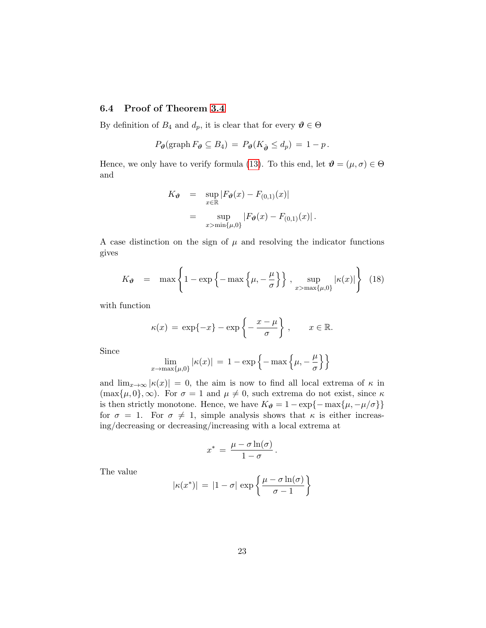## 6.4 Proof of Theorem [3.4](#page-11-0)

By definition of  $B_4$  and  $d_p$ , it is clear that for every  $\mathbf{\vartheta} \in \Theta$ 

$$
P_{\boldsymbol{\theta}}(\text{graph}\, F_{\boldsymbol{\theta}}\subseteq B_4) = P_{\boldsymbol{\theta}}(K_{\hat{\boldsymbol{\theta}}}\leq d_p) = 1-p.
$$

Hence, we only have to verify formula [\(13\)](#page-11-3). To this end, let  $\mathbf{\vartheta} = (\mu, \sigma) \in \Theta$ and

$$
K_{\theta} = \sup_{x \in \mathbb{R}} |F_{\theta}(x) - F_{(0,1)}(x)|
$$
  
= 
$$
\sup_{x > \min\{\mu, 0\}} |F_{\theta}(x) - F_{(0,1)}(x)|.
$$

A case distinction on the sign of  $\mu$  and resolving the indicator functions gives

$$
K_{\theta} = \max \left\{ 1 - \exp \left\{ - \max \left\{ \mu, -\frac{\mu}{\sigma} \right\} \right\}, \sup_{x > \max\{\mu, 0\}} |\kappa(x)| \right\} (18)
$$

with function

$$
\kappa(x) = \exp\{-x\} - \exp\left\{-\frac{x-\mu}{\sigma}\right\}, \quad x \in \mathbb{R}.
$$

Since

$$
\lim_{x \to \max\{\mu, 0\}} |\kappa(x)| = 1 - \exp\left\{-\max\left\{\mu, -\frac{\mu}{\sigma}\right\}\right\}
$$

and  $\lim_{x\to\infty}$   $|\kappa(x)| = 0$ , the aim is now to find all local extrema of  $\kappa$  in  $(\max{\mu, 0}, \infty)$ . For  $\sigma = 1$  and  $\mu \neq 0$ , such extrema do not exist, since  $\kappa$ is then strictly monotone. Hence, we have  $K_{\theta} = 1 - \exp\{-\max\{\mu, -\mu/\sigma\}\}\$ for  $\sigma = 1$ . For  $\sigma \neq 1$ , simple analysis shows that  $\kappa$  is either increasing/decreasing or decreasing/increasing with a local extrema at

$$
x^* = \frac{\mu - \sigma \ln(\sigma)}{1 - \sigma}.
$$

The value

$$
|\kappa(x^*)| = |1 - \sigma| \exp\left\{\frac{\mu - \sigma \ln(\sigma)}{\sigma - 1}\right\}
$$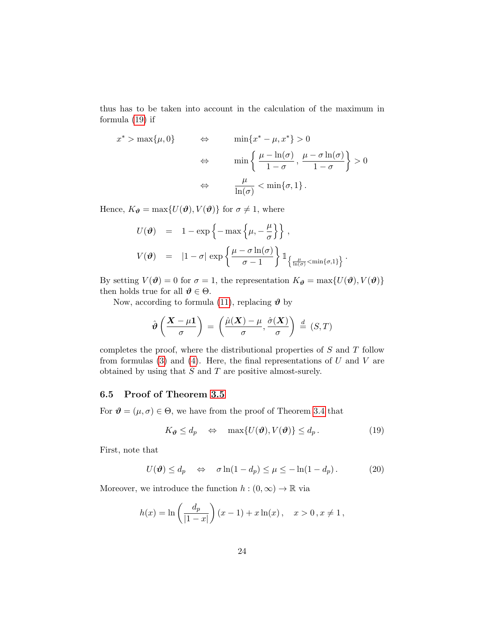thus has to be taken into account in the calculation of the maximum in formula [\(19\)](#page-23-0) if

$$
x^* > \max\{\mu, 0\} \qquad \Leftrightarrow \qquad \min\{x^* - \mu, x^*\} > 0
$$

$$
\Leftrightarrow \qquad \min\left\{\frac{\mu - \ln(\sigma)}{1 - \sigma}, \frac{\mu - \sigma \ln(\sigma)}{1 - \sigma}\right\} > 0
$$

$$
\Leftrightarrow \qquad \frac{\mu}{\ln(\sigma)} < \min\{\sigma, 1\}.
$$

Hence,  $K_{\theta} = \max\{U(\theta), V(\theta)\}\)$  for  $\sigma \neq 1$ , where

$$
U(\boldsymbol{\vartheta}) = 1 - \exp\left\{-\max\left\{\mu, -\frac{\mu}{\sigma}\right\}\right\},
$$
  

$$
V(\boldsymbol{\vartheta}) = |1 - \sigma| \exp\left\{\frac{\mu - \sigma \ln(\sigma)}{\sigma - 1}\right\} \mathbb{1}_{\left\{\frac{\mu}{\ln(\sigma)} < \min\{\sigma, 1\}\right\}}.
$$

By setting  $V(\boldsymbol{\vartheta}) = 0$  for  $\sigma = 1$ , the representation  $K_{\boldsymbol{\vartheta}} = \max\{U(\boldsymbol{\vartheta}), V(\boldsymbol{\vartheta})\}$ then holds true for all  $\theta \in \Theta$ .

Now, according to formula [\(11\)](#page-10-2), replacing  $\vartheta$  by

$$
\hat{\boldsymbol{\vartheta}}\left(\frac{\boldsymbol{X}-\mu\mathbf{1}}{\sigma}\right) = \left(\frac{\hat{\mu}(\boldsymbol{X})-\mu}{\sigma}, \frac{\hat{\sigma}(\boldsymbol{X})}{\sigma}\right) \stackrel{d}{=} (S, T)
$$

completes the proof, where the distributional properties of S and T follow from formulas  $(3)$  and  $(4)$ . Here, the final representations of U and V are obtained by using that S and T are positive almost-surely.

## 6.5 Proof of Theorem [3.5](#page-13-1)

For  $\mathbf{\vartheta} = (\mu, \sigma) \in \Theta$ , we have from the proof of Theorem [3.4](#page-11-0) that

<span id="page-23-0"></span>
$$
K_{\theta} \le d_p \quad \Leftrightarrow \quad \max\{U(\theta), V(\theta)\} \le d_p. \tag{19}
$$

First, note that

<span id="page-23-1"></span>
$$
U(\mathbf{\vartheta}) \le d_p \quad \Leftrightarrow \quad \sigma \ln(1 - d_p) \le \mu \le -\ln(1 - d_p). \tag{20}
$$

Moreover, we introduce the function  $h : (0, \infty) \to \mathbb{R}$  via

$$
h(x) = \ln\left(\frac{d_p}{|1-x|}\right)(x-1) + x\ln(x), \quad x > 0, x \neq 1,
$$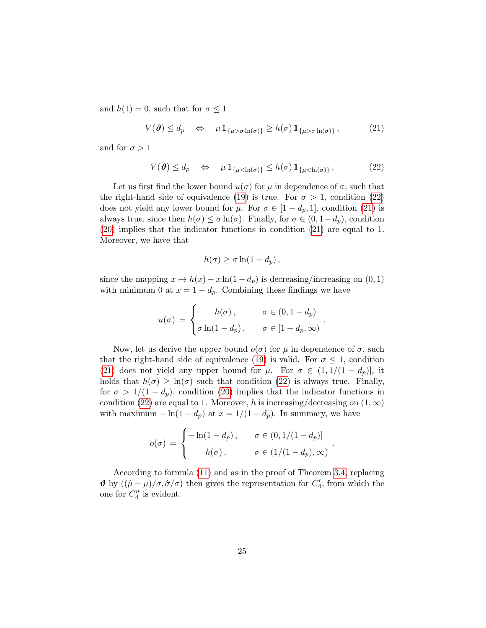and  $h(1) = 0$ , such that for  $\sigma \leq 1$ 

<span id="page-24-1"></span>
$$
V(\boldsymbol{\vartheta}) \le d_p \quad \Leftrightarrow \quad \mu \, \mathbb{1}_{\{\mu > \sigma \ln(\sigma)\}} \ge h(\sigma) \, \mathbb{1}_{\{\mu > \sigma \ln(\sigma)\}}, \tag{21}
$$

and for  $\sigma > 1$ 

<span id="page-24-0"></span>
$$
V(\boldsymbol{\vartheta}) \le d_p \quad \Leftrightarrow \quad \mu \, \mathbb{1}_{\{\mu < \ln(\sigma)\}} \le h(\sigma) \, \mathbb{1}_{\{\mu < \ln(\sigma)\}}, \tag{22}
$$

Let us first find the lower bound  $u(\sigma)$  for  $\mu$  in dependence of  $\sigma$ , such that the right-hand side of equivalence [\(19\)](#page-23-0) is true. For  $\sigma > 1$ , condition [\(22\)](#page-24-0) does not yield any lower bound for  $\mu$ . For  $\sigma \in [1-d_p,1]$ , condition [\(21\)](#page-24-1) is always true, since then  $h(\sigma) \leq \sigma \ln(\sigma)$ . Finally, for  $\sigma \in (0, 1-d_p)$ , condition [\(20\)](#page-23-1) implies that the indicator functions in condition [\(21\)](#page-24-1) are equal to 1. Moreover, we have that

$$
h(\sigma) \ge \sigma \ln(1 - d_p),
$$

since the mapping  $x \mapsto h(x) - x \ln(1 - d_p)$  is decreasing/increasing on  $(0, 1)$ with minimum 0 at  $x = 1 - d_p$ . Combining these findings we have

$$
u(\sigma) = \begin{cases} h(\sigma), & \sigma \in (0, 1 - d_p) \\ \sigma \ln(1 - d_p), & \sigma \in [1 - d_p, \infty) \end{cases}
$$

.

.

Now, let us derive the upper bound  $o(\sigma)$  for  $\mu$  in dependence of  $\sigma$ , such that the right-hand side of equivalence [\(19\)](#page-23-0) is valid. For  $\sigma \leq 1$ , condition [\(21\)](#page-24-1) does not yield any upper bound for  $\mu$ . For  $\sigma \in (1, 1/(1-d_p))$ , it holds that  $h(\sigma) \geq \ln(\sigma)$  such that condition [\(22\)](#page-24-0) is always true. Finally, for  $\sigma > 1/(1 - d_p)$ , condition [\(20\)](#page-23-1) implies that the indicator functions in condition [\(22\)](#page-24-0) are equal to 1. Moreover, h is increasing/decreasing on  $(1, \infty)$ with maximum  $-\ln(1-d_p)$  at  $x = 1/(1-d_p)$ . In summary, we have

$$
o(\sigma) = \begin{cases} -\ln(1-d_p), & \sigma \in (0, 1/(1-d_p)] \\ h(\sigma), & \sigma \in (1/(1-d_p), \infty) \end{cases}
$$

According to formula [\(11\)](#page-10-2) and as in the proof of Theorem [3.4,](#page-11-0) replacing  $\vartheta$  by  $((\hat{\mu} - \mu)/\sigma, \hat{\sigma}/\sigma)$  then gives the representation for  $C_4'$ , from which the one for  $C_4''$  is evident.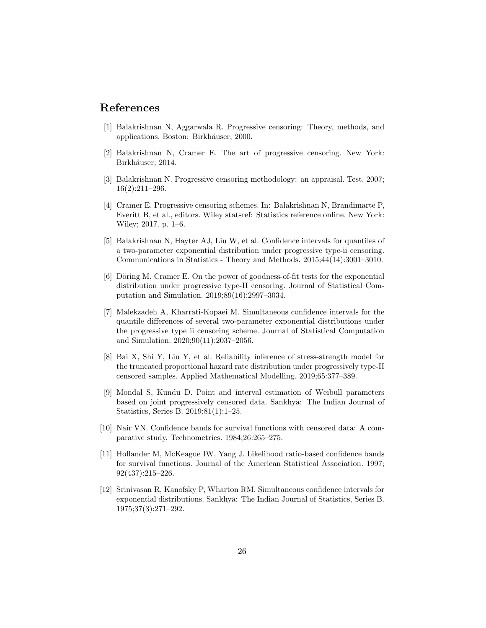# References

- <span id="page-25-0"></span>[1] Balakrishnan N, Aggarwala R. Progressive censoring: Theory, methods, and applications. Boston: Birkhäuser; 2000.
- <span id="page-25-1"></span>[2] Balakrishnan N, Cramer E. The art of progressive censoring. New York: Birkhäuser; 2014.
- <span id="page-25-2"></span>[3] Balakrishnan N. Progressive censoring methodology: an appraisal. Test. 2007; 16(2):211–296.
- <span id="page-25-3"></span>[4] Cramer E. Progressive censoring schemes. In: Balakrishnan N, Brandimarte P, Everitt B, et al., editors. Wiley statsref: Statistics reference online. New York: Wiley; 2017. p. 1–6.
- <span id="page-25-4"></span>[5] Balakrishnan N, Hayter AJ, Liu W, et al. Confidence intervals for quantiles of a two-parameter exponential distribution under progressive type-ii censoring. Communications in Statistics - Theory and Methods. 2015;44(14):3001–3010.
- [6] Döring M, Cramer E. On the power of goodness-of-fit tests for the exponential distribution under progressive type-II censoring. Journal of Statistical Computation and Simulation. 2019;89(16):2997–3034.
- <span id="page-25-5"></span>[7] Malekzadeh A, Kharrati-Kopaei M. Simultaneous confidence intervals for the quantile differences of several two-parameter exponential distributions under the progressive type ii censoring scheme. Journal of Statistical Computation and Simulation. 2020;90(11):2037–2056.
- <span id="page-25-6"></span>[8] Bai X, Shi Y, Liu Y, et al. Reliability inference of stress-strength model for the truncated proportional hazard rate distribution under progressively type-II censored samples. Applied Mathematical Modelling. 2019;65:377–389.
- <span id="page-25-7"></span>[9] Mondal S, Kundu D. Point and interval estimation of Weibull parameters based on joint progressively censored data. Sankhya: The Indian Journal of Statistics, Series B. 2019;81(1):1–25.
- <span id="page-25-8"></span>[10] Nair VN. Confidence bands for survival functions with censored data: A comparative study. Technometrics. 1984;26:265–275.
- <span id="page-25-9"></span>[11] Hollander M, McKeague IW, Yang J. Likelihood ratio-based confidence bands for survival functions. Journal of the American Statistical Association. 1997; 92(437):215–226.
- <span id="page-25-10"></span>[12] Srinivasan R, Kanofsky P, Wharton RM. Simultaneous confidence intervals for exponential distributions. Sankhyā: The Indian Journal of Statistics, Series B. 1975;37(3):271–292.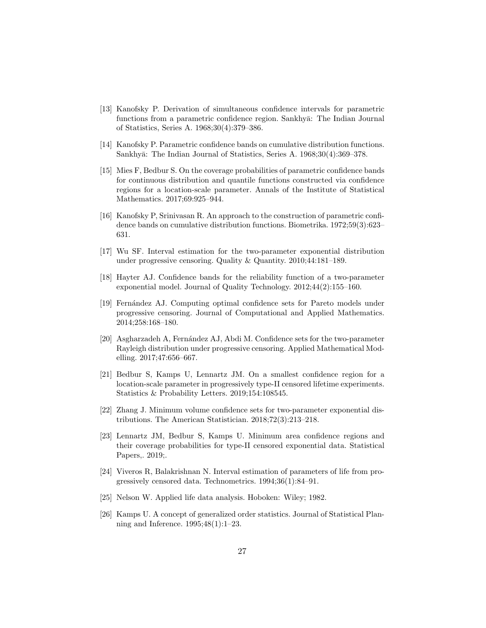- <span id="page-26-0"></span>[13] Kanofsky P. Derivation of simultaneous confidence intervals for parametric functions from a parametric confidence region. Sankhyā: The Indian Journal of Statistics, Series A. 1968;30(4):379–386.
- <span id="page-26-1"></span>[14] Kanofsky P. Parametric confidence bands on cumulative distribution functions. Sankhyā: The Indian Journal of Statistics, Series A. 1968;30(4):369–378.
- <span id="page-26-2"></span>[15] Mies F, Bedbur S. On the coverage probabilities of parametric confidence bands for continuous distribution and quantile functions constructed via confidence regions for a location-scale parameter. Annals of the Institute of Statistical Mathematics. 2017;69:925–944.
- <span id="page-26-3"></span>[16] Kanofsky P, Srinivasan R. An approach to the construction of parametric confidence bands on cumulative distribution functions. Biometrika. 1972;59(3):623– 631.
- <span id="page-26-4"></span>[17] Wu SF. Interval estimation for the two-parameter exponential distribution under progressive censoring. Quality & Quantity. 2010;44:181–189.
- <span id="page-26-5"></span>[18] Hayter AJ. Confidence bands for the reliability function of a two-parameter exponential model. Journal of Quality Technology. 2012;44(2):155–160.
- <span id="page-26-6"></span>[19] Fern´andez AJ. Computing optimal confidence sets for Pareto models under progressive censoring. Journal of Computational and Applied Mathematics. 2014;258:168–180.
- <span id="page-26-7"></span>[20] Asgharzadeh A, Fernández AJ, Abdi M. Confidence sets for the two-parameter Rayleigh distribution under progressive censoring. Applied Mathematical Modelling. 2017;47:656–667.
- <span id="page-26-8"></span>[21] Bedbur S, Kamps U, Lennartz JM. On a smallest confidence region for a location-scale parameter in progressively type-II censored lifetime experiments. Statistics & Probability Letters. 2019;154:108545.
- <span id="page-26-9"></span>[22] Zhang J. Minimum volume confidence sets for two-parameter exponential distributions. The American Statistician. 2018;72(3):213–218.
- <span id="page-26-10"></span>[23] Lennartz JM, Bedbur S, Kamps U. Minimum area confidence regions and their coverage probabilities for type-II censored exponential data. Statistical Papers,. 2019;.
- <span id="page-26-11"></span>[24] Viveros R, Balakrishnan N. Interval estimation of parameters of life from progressively censored data. Technometrics. 1994;36(1):84–91.
- <span id="page-26-12"></span>[25] Nelson W. Applied life data analysis. Hoboken: Wiley; 1982.
- <span id="page-26-13"></span>[26] Kamps U. A concept of generalized order statistics. Journal of Statistical Planning and Inference. 1995;48(1):1–23.